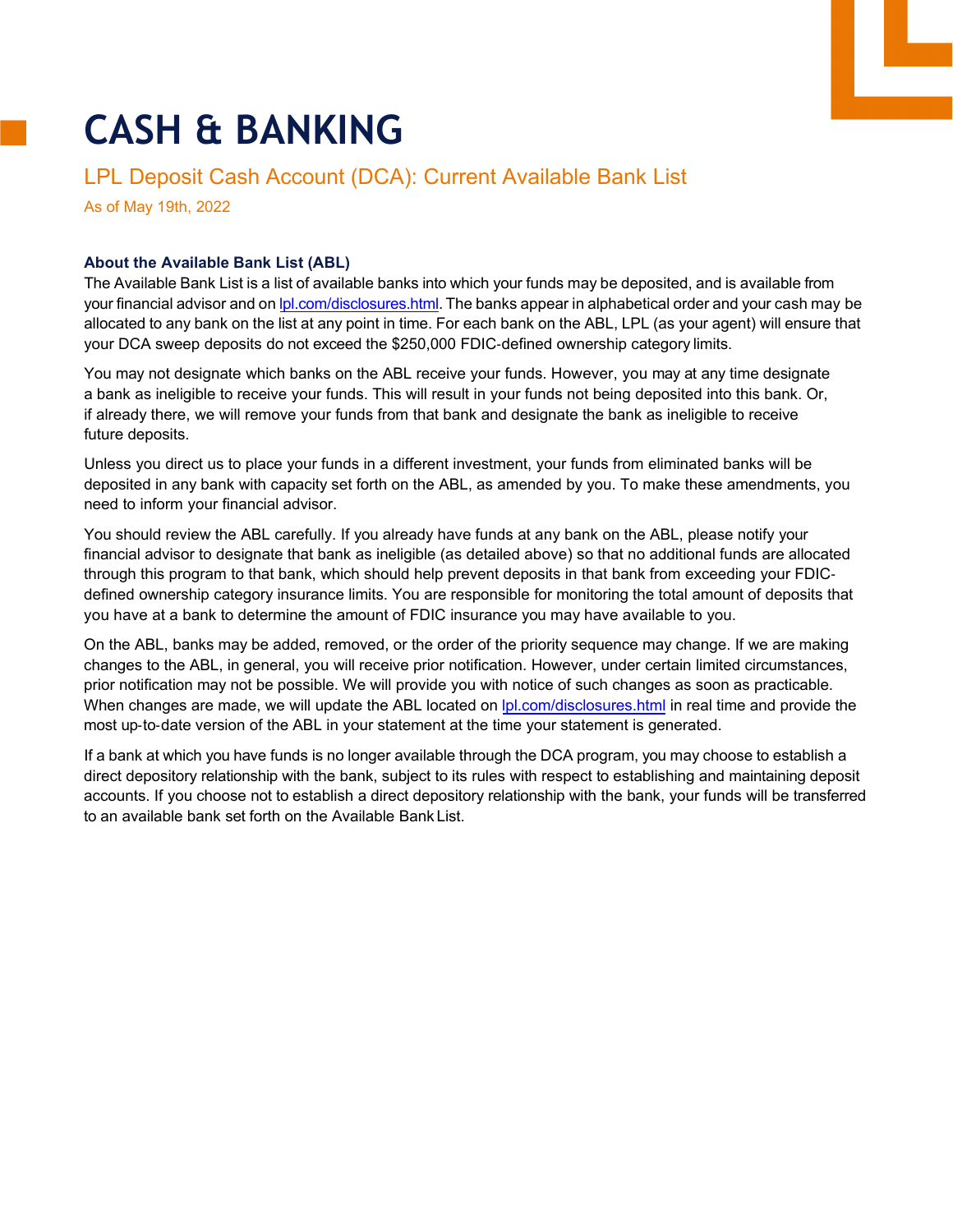## **CASH & BANKING**

## LPL Deposit Cash Account (DCA): Current Available Bank List

As of May 19th, 2022

## **About the Available Bank List (ABL)**

The Available Bank List is a list of available banks into which your funds may be deposited, and is available from your financial advisor and on [lpl.com/disclosures.html.](https://www.lpl.com/disclosures.html) The banks appear in alphabetical order and your cash may be allocated to any bank on the list at any point in time. For each bank on the ABL, LPL (as your agent) will ensure that your DCA sweep deposits do not exceed the \$250,000 FDIC‐defined ownership category limits.

You may not designate which banks on the ABL receive your funds. However, you may at any time designate a bank as ineligible to receive your funds. This will result in your funds not being deposited into this bank. Or, if already there, we will remove your funds from that bank and designate the bank as ineligible to receive future deposits.

Unless you direct us to place your funds in a different investment, your funds from eliminated banks will be deposited in any bank with capacity set forth on the ABL, as amended by you. To make these amendments, you need to inform your financial advisor.

You should review the ABL carefully. If you already have funds at any bank on the ABL, please notify your financial advisor to designate that bank as ineligible (as detailed above) so that no additional funds are allocated through this program to that bank, which should help prevent deposits in that bank from exceeding your FDIC‐ defined ownership category insurance limits. You are responsible for monitoring the total amount of deposits that you have at a bank to determine the amount of FDIC insurance you may have available to you.

On the ABL, banks may be added, removed, or the order of the priority sequence may change. If we are making changes to the ABL, in general, you will receive prior notification. However, under certain limited circumstances, prior notification may not be possible. We will provide you with notice of such changes as soon as practicable. When changes are made, we will update the ABL located on  $|p|$ .com/disclosures.html in real time and provide the most up-to-date version of the ABL in your statement at the time your statement is generated.

If a bank at which you have funds is no longer available through the DCA program, you may choose to establish a direct depository relationship with the bank, subject to its rules with respect to establishing and maintaining deposit accounts. If you choose not to establish a direct depository relationship with the bank, your funds will be transferred to an available bank set forth on the Available Bank List.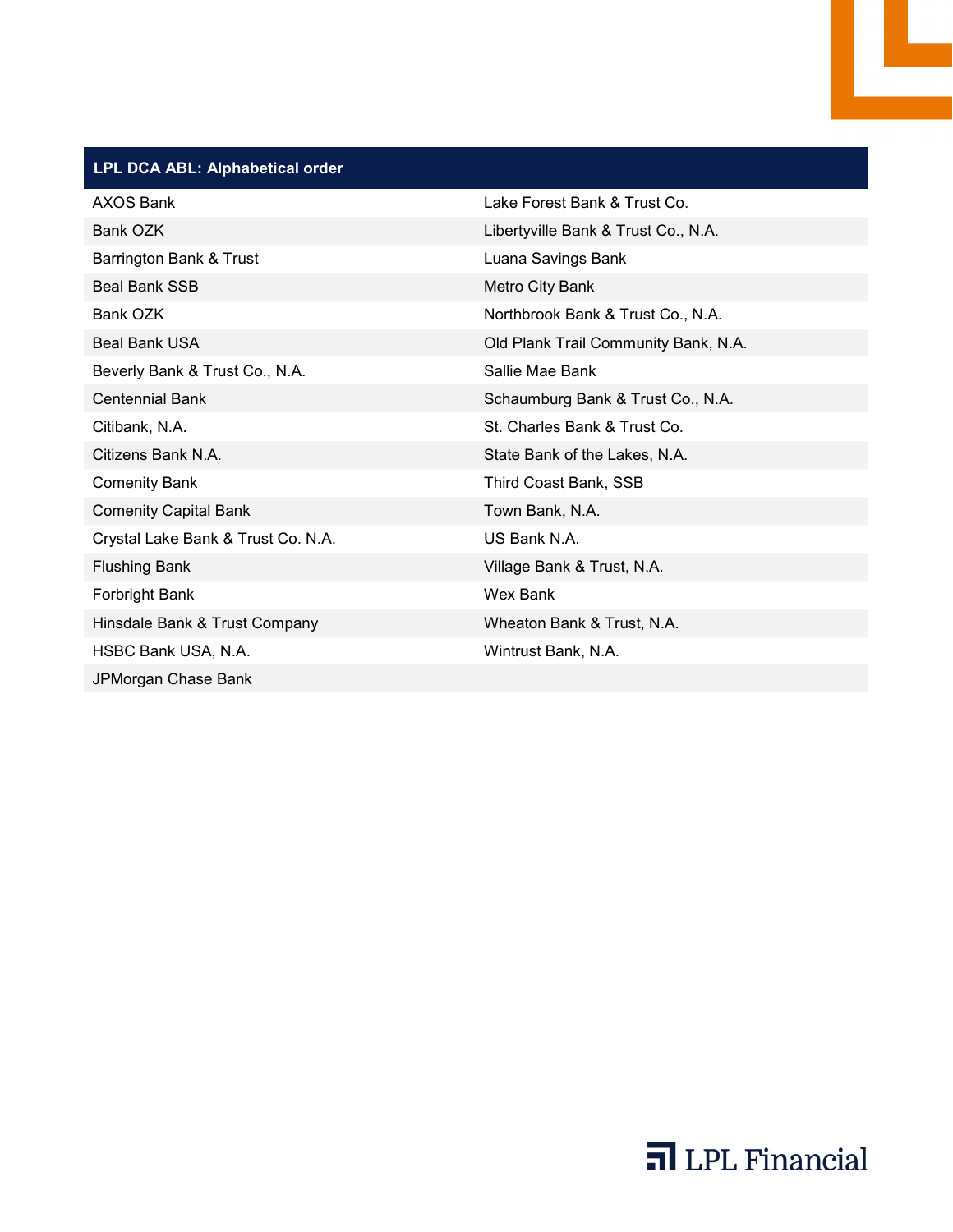## **LPL DCA ABL: Alphabetical order**

| <b>AXOS Bank</b>                   | Lake Forest Bank & Trust Co.         |  |
|------------------------------------|--------------------------------------|--|
| Bank OZK                           | Libertyville Bank & Trust Co., N.A.  |  |
| Barrington Bank & Trust            | Luana Savings Bank                   |  |
| <b>Beal Bank SSB</b>               | <b>Metro City Bank</b>               |  |
| Bank OZK                           | Northbrook Bank & Trust Co., N.A.    |  |
| <b>Beal Bank USA</b>               | Old Plank Trail Community Bank, N.A. |  |
| Beverly Bank & Trust Co., N.A.     | Sallie Mae Bank                      |  |
| <b>Centennial Bank</b>             | Schaumburg Bank & Trust Co., N.A.    |  |
| Citibank, N.A.                     | St. Charles Bank & Trust Co.         |  |
| Citizens Bank N.A.                 | State Bank of the Lakes, N.A.        |  |
| <b>Comenity Bank</b>               | Third Coast Bank, SSB                |  |
| <b>Comenity Capital Bank</b>       | Town Bank, N.A.                      |  |
| Crystal Lake Bank & Trust Co. N.A. | US Bank N.A.                         |  |
| <b>Flushing Bank</b>               | Village Bank & Trust, N.A.           |  |
| Forbright Bank                     | Wex Bank                             |  |
| Hinsdale Bank & Trust Company      | Wheaton Bank & Trust, N.A.           |  |
| HSBC Bank USA, N.A.                | Wintrust Bank, N.A.                  |  |
| JPMorgan Chase Bank                |                                      |  |